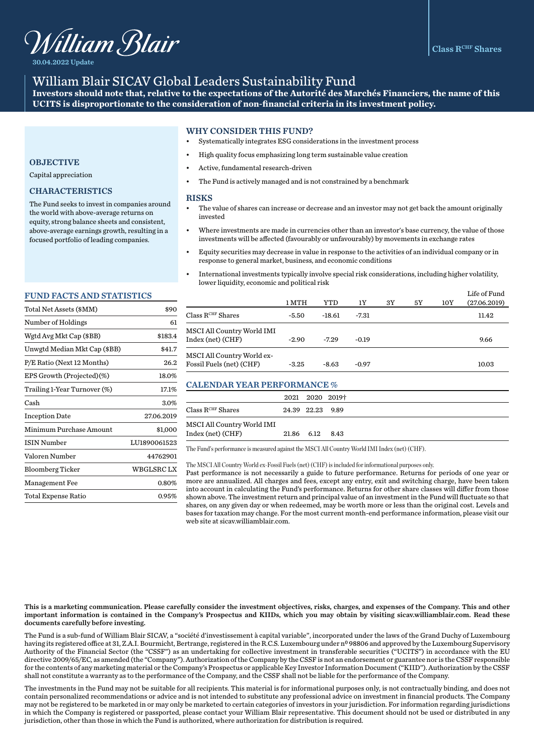

30.04.2022 Update

# William Blair SICAV Global Leaders Sustainability Fund

**Investors should note that, relative to the expectations of the Autorité des Marchés Financiers, the name of this UCITS is disproportionate to the consideration of non-financial criteria in its investment policy.** 

## WHY CONSIDER THIS FUND?

- Systematically integrates ESG considerations in the investment process
- High quality focus emphasizing long term sustainable value creation
- Active, fundamental research-driven
- The Fund is actively managed and is not constrained by a benchmark

#### **RISKS**

- The value of shares can increase or decrease and an investor may not get back the amount originally invested
- Where investments are made in currencies other than an investor's base currency, the value of those investments will be affected (favourably or unfavourably) by movements in exchange rates
- Equity securities may decrease in value in response to the activities of an individual company or in response to general market, business, and economic conditions
- International investments typically involve special risk considerations, including higher volatility, lower liquidity, economic and political risk

|                                                        | 1 MTH   | YTD     | 1Y      | 3Y | 5Y | 10Y | Life of Fund<br>(27.06.2019) |
|--------------------------------------------------------|---------|---------|---------|----|----|-----|------------------------------|
| $\rm Class\,R^{CHF}\,Shares$                           | -5.50   | -18.61  | -7.31   |    |    |     | 11.42                        |
| MSCI All Country World IMI<br>Index (net) (CHF)        | $-2.90$ | $-7.29$ | $-0.19$ |    |    |     | 9.66                         |
| MSCI All Country World ex-<br>Fossil Fuels (net) (CHF) | $-3.25$ | $-8.63$ | $-0.97$ |    |    |     | 10.03                        |

## CALENDAR YEAR PERFORMANCE %

|                              | 2021 2020 2019†  |  |
|------------------------------|------------------|--|
| $\rm Class\,R^{CHF}\,Shares$ | 24.39 22.23 9.89 |  |
| MSCI All Country World IMI   |                  |  |
| Index (net) (CHF)            | 21.86 6.12 8.43  |  |

The Fund's performance is measured against the MSCI All Country World IMI Index (net) (CHF).

The MSCI All Country World ex-Fossil Fuels (net) (CHF) is included for informational purposes only.

Past performance is not necessarily a guide to future performance. Returns for periods of one year or more are annualized. All charges and fees, except any entry, exit and switching charge, have been taken into account in calculating the Fund's performance. Returns for other share classes will differ from those shown above. The investment return and principal value of an investment in the Fund will fluctuate so that shares, on any given day or when redeemed, may be worth more or less than the original cost. Levels and bases for taxation may change. For the most current month-end performance information, please visit our web site at sicav.williamblair.com.

## **OBJECTIVE**

Capital appreciation

## CHARACTERISTICS

The Fund seeks to invest in companies around the world with above-average returns on equity, strong balance sheets and consistent, above-average earnings growth, resulting in a focused portfolio of leading companies.

#### FUND FACTS AND STATISTICS

| Total Net Assets (\$MM)      | \$90         |
|------------------------------|--------------|
| Number of Holdings           | 61           |
| Wgtd Avg Mkt Cap (\$BB)      | \$183.4      |
| Unwgtd Median Mkt Cap (\$BB) | \$41.7       |
| P/E Ratio (Next 12 Months)   | 26.2         |
| EPS Growth (Projected)(%)    | 18.0%        |
| Trailing 1-Year Turnover (%) | 17.1%        |
| Cash                         | 3.0%         |
| <b>Inception Date</b>        | 27.06.2019   |
| Minimum Purchase Amount      | \$1,000      |
| <b>ISIN Number</b>           | LU1890061523 |
| Valoren Number               | 44762901     |
| <b>Bloomberg Ticker</b>      | WBGLSRC LX   |
| Management Fee               | 0.80%        |
| Total Expense Ratio          | $0.95\%$     |
|                              |              |

This is a marketing communication. Please carefully consider the investment objectives, risks, charges, and expenses of the Company. This and other important information is contained in the Company's Prospectus and KIIDs, which you may obtain by visiting sicav.williamblair.com. Read these documents carefully before investing.

The Fund is a sub-fund of William Blair SICAV, a "société d'investissement à capital variable", incorporated under the laws of the Grand Duchy of Luxembourg having its registered office at 31, Z.A.I. Bourmicht, Bertrange, registered in the R.C.S. Luxembourg under nº 98806 and approved by the Luxembourg Supervisory Authority of the Financial Sector (the "CSSF") as an undertaking for collective investment in transferable securities ("UCITS") in accordance with the EU directive 2009/65/EC, as amended (the "Company"). Authorization of the Company by the CSSF is not an endorsement or guarantee nor is the CSSF responsible for the contents of any marketing material or the Company's Prospectus or applicable Key Investor Information Document ("KIID"). Authorization by the CSSF shall not constitute a warranty as to the performance of the Company, and the CSSF shall not be liable for the performance of the Company.

The investments in the Fund may not be suitable for all recipients. This material is for informational purposes only, is not contractually binding, and does not contain personalized recommendations or advice and is not intended to substitute any professional advice on investment in financial products. The Company may not be registered to be marketed in or may only be marketed to certain categories of investors in your jurisdiction. For information regarding jurisdictions in which the Company is registered or passported, please contact your William Blair representative. This document should not be used or distributed in any jurisdiction, other than those in which the Fund is authorized, where authorization for distribution is required.